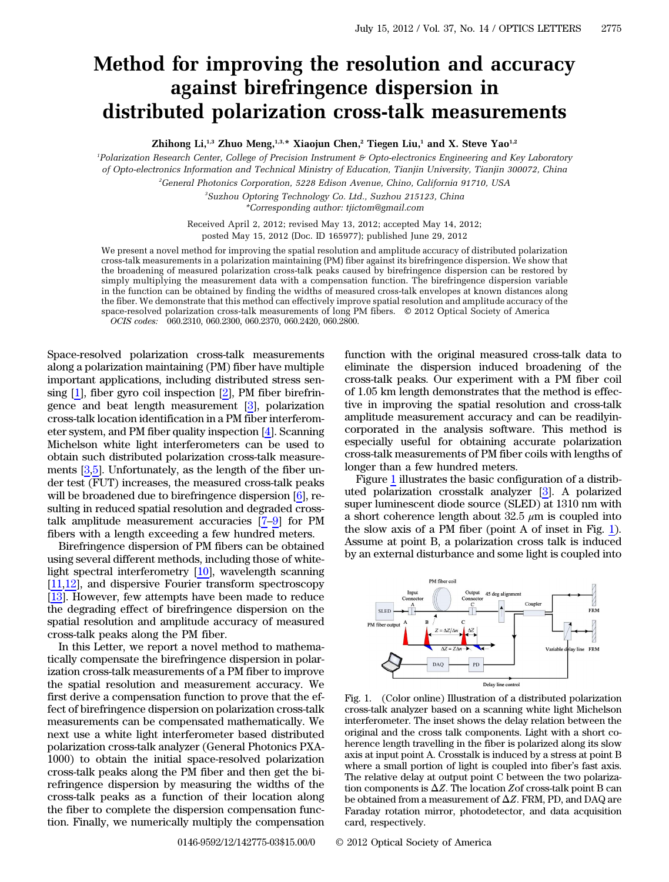## Method for improving the resolution and accuracy against birefringence dispersion in distributed polarization cross-talk measurements

Zhihong Li,<sup>1,3</sup> Zhuo Meng,<sup>1,3,\*</sup> Xiaojun Chen,<sup>2</sup> Tiegen Liu,<sup>1</sup> and X. Steve Yao<sup>1,2</sup>

1 Polarization Research Center, College of Precision Instrument & Opto-electronics Engineering and Key Laboratory of Opto-electronics Information and Technical Ministry of Education, Tianjin University, Tianjin 300072, China

2 General Photonics Corporation, 5228 Edison Avenue, Chino, California 91710, USA

3 Suzhou Optoring Technology Co. Ltd., Suzhou 215123, China \*Corresponding author: tjictom@gmail.com

Received April 2, 2012; revised May 13, 2012; accepted May 14, 2012; posted May 15, 2012 (Doc. ID 165977); published June 29, 2012

We present a novel method for improving the spatial resolution and amplitude accuracy of distributed polarization cross-talk measurements in a polarization maintaining (PM) fiber against its birefringence dispersion. We show that the broadening of measured polarization cross-talk peaks caused by birefringence dispersion can be restored by simply multiplying the measurement data with a compensation function. The birefringence dispersion variable in the function can be obtained by finding the widths of measured cross-talk envelopes at known distances along the fiber. We demonstrate that this method can effectively improve spatial resolution and amplitude accuracy of the space-resolved polarization cross-talk measurements of long PM fibers. © 2012 Optical Society of America OCIS codes: 060.2310, 060.2300, 060.2370, 060.2420, 060.2800.

Space-resolved polarization cross-talk measurements along a polarization maintaining (PM) fiber have multiple important applications, including distributed stress sensing  $[1]$  $[1]$ , fiber gyro coil inspection  $[2]$  $[2]$ , PM fiber birefringence and beat length measurement [[3\]](#page-2-2), polarization cross-talk location identification in a PM fiber interferometer system, and PM fiber quality inspection [\[4](#page-2-3)]. Scanning Michelson white light interferometers can be used to obtain such distributed polarization cross-talk measurements [[3](#page-2-2)[,5](#page-2-4)]. Unfortunately, as the length of the fiber under test (FUT) increases, the measured cross-talk peaks will be broadened due to birefringence dispersion [\[6](#page-2-5)], resulting in reduced spatial resolution and degraded crosstalk amplitude measurement accuracies [\[7](#page-2-6)–[9](#page-2-7)] for PM fibers with a length exceeding a few hundred meters.

Birefringence dispersion of PM fibers can be obtained using several different methods, including those of whitelight spectral interferometry [\[10](#page-2-8)], wavelength scanning [\[11](#page-2-9),[12\]](#page-2-10), and dispersive Fourier transform spectroscopy [\[13](#page-2-11)]. However, few attempts have been made to reduce the degrading effect of birefringence dispersion on the spatial resolution and amplitude accuracy of measured cross-talk peaks along the PM fiber.

In this Letter, we report a novel method to mathematically compensate the birefringence dispersion in polarization cross-talk measurements of a PM fiber to improve the spatial resolution and measurement accuracy. We first derive a compensation function to prove that the effect of birefringence dispersion on polarization cross-talk measurements can be compensated mathematically. We next use a white light interferometer based distributed polarization cross-talk analyzer (General Photonics PXA-1000) to obtain the initial space-resolved polarization cross-talk peaks along the PM fiber and then get the birefringence dispersion by measuring the widths of the cross-talk peaks as a function of their location along the fiber to complete the dispersion compensation function. Finally, we numerically multiply the compensation function with the original measured cross-talk data to eliminate the dispersion induced broadening of the cross-talk peaks. Our experiment with a PM fiber coil of 1.05 km length demonstrates that the method is effective in improving the spatial resolution and cross-talk amplitude measurement accuracy and can be readilyincorporated in the analysis software. This method is especially useful for obtaining accurate polarization cross-talk measurements of PM fiber coils with lengths of longer than a few hundred meters.

Figure [1](#page-0-0) illustrates the basic configuration of a distributed polarization crosstalk analyzer [[3\]](#page-2-2). A polarized super luminescent diode source (SLED) at 1310 nm with a short coherence length about  $32.5 \mu m$  is coupled into the slow axis of a PM fiber (point A of inset in Fig. [1\)](#page-0-0). Assume at point B, a polarization cross talk is induced by an external disturbance and some light is coupled into

PM fiber coil

<span id="page-0-0"></span>

Fig. 1. (Color online) Illustration of a distributed polarization cross-talk analyzer based on a scanning white light Michelson interferometer. The inset shows the delay relation between the original and the cross talk components. Light with a short coherence length travelling in the fiber is polarized along its slow axis at input point A. Crosstalk is induced by a stress at point B where a small portion of light is coupled into fiber's fast axis. The relative delay at output point C between the two polarization components is  $\Delta Z$ . The location Zof cross-talk point B can be obtained from a measurement of  $\Delta Z$ . FRM, PD, and DAQ are Faraday rotation mirror, photodetector, and data acquisition card, respectively.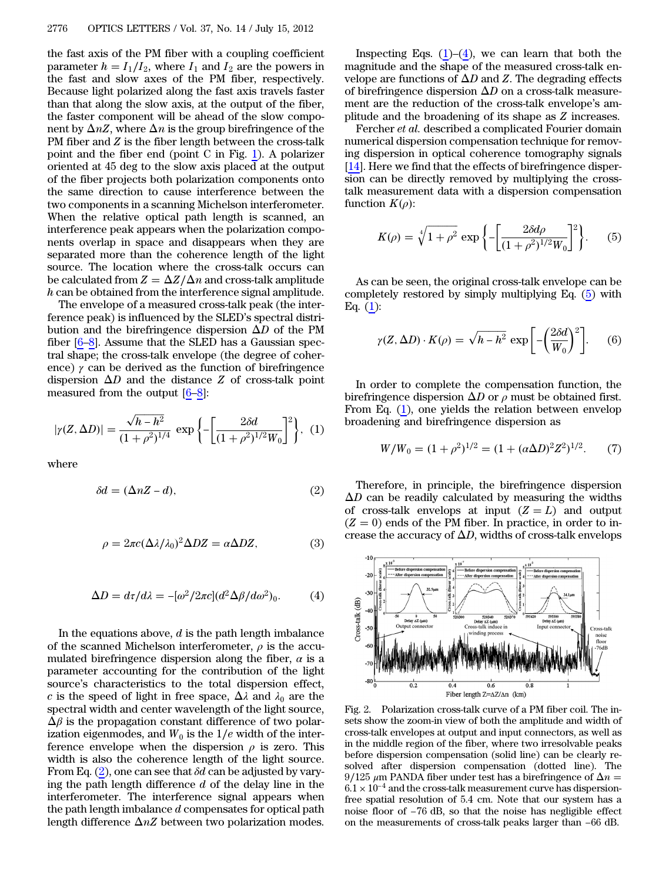the fast axis of the PM fiber with a coupling coefficient parameter  $h = I_1/I_2$ , where  $I_1$  and  $I_2$  are the powers in the fast and slow axes of the PM fiber, respectively. Because light polarized along the fast axis travels faster than that along the slow axis, at the output of the fiber, the faster component will be ahead of the slow component by  $\Delta nZ$ , where  $\Delta n$  is the group birefringence of the PM fiber and  $Z$  is the fiber length between the cross-talk point and the fiber end (point C in Fig. [1\)](#page-0-0). A polarizer oriented at 45 deg to the slow axis placed at the output of the fiber projects both polarization components onto the same direction to cause interference between the two components in a scanning Michelson interferometer. When the relative optical path length is scanned, an interference peak appears when the polarization components overlap in space and disappears when they are separated more than the coherence length of the light source. The location where the cross-talk occurs can be calculated from  $Z = \Delta Z/\Delta n$  and cross-talk amplitude h can be obtained from the interference signal amplitude.

The envelope of a measured cross-talk peak (the interference peak) is influenced by the SLED's spectral distribution and the birefringence dispersion  $\Delta D$  of the PM fiber [[6](#page-2-5)–[8\]](#page-2-12). Assume that the SLED has a Gaussian spectral shape; the cross-talk envelope (the degree of coherence)  $\gamma$  can be derived as the function of birefringence dispersion  $\Delta D$  and the distance Z of cross-talk point<br>measured from the output  $[6-8]$ :<br> $\sqrt{h-h^2}$  (  $\lceil 2\delta d \rceil^2$ )  $\frac{1}{2}$  and the distance<br>measured from the output  $[6-8]$  $[6-8]$  $[6-8]$  $[6-8]$  $[6-8]$ :

<span id="page-1-1"></span>
$$
|\gamma(Z, \Delta D)| = \frac{\sqrt{h - h^2}}{(1 + \rho^2)^{1/4}} \exp\left\{-\left[\frac{2\delta d}{(1 + \rho^2)^{1/2}W_0}\right]^2\right\}, (1)
$$

<span id="page-1-0"></span>where

$$
\delta d = (\Delta n Z - d),\tag{2}
$$

$$
\rho = 2\pi c (\Delta \lambda / \lambda_0)^2 \Delta DZ = \alpha \Delta DZ, \tag{3}
$$

<span id="page-1-2"></span>
$$
\Delta D = d\tau/d\lambda = -[\omega^2/2\pi c](d^2 \Delta \beta / d\omega^2)_0.
$$
 (4)

In the equations above,  $d$  is the path length imbalance of the scanned Michelson interferometer,  $\rho$  is the accumulated birefringence dispersion along the fiber,  $\alpha$  is a parameter accounting for the contribution of the light source's characteristics to the total dispersion effect, c is the speed of light in free space,  $\Delta \lambda$  and  $\lambda_0$  are the spectral width and center wavelength of the light source,  $\Delta \beta$  is the propagation constant difference of two polarization eigenmodes, and  $W_0$  is the 1/e width of the interference envelope when the dispersion  $\rho$  is zero. This width is also the coherence length of the light source. From Eq. ([2\)](#page-1-0), one can see that  $\delta d$  can be adjusted by varying the path length difference  $d$  of the delay line in the interferometer. The interference signal appears when the path length imbalance d compensates for optical path length difference  $\Delta nZ$  between two polarization modes.

Inspecting Eqs.  $(1)$  $(1)$ – $(4)$  $(4)$ , we can learn that both the magnitude and the shape of the measured cross-talk envelope are functions of  $\Delta D$  and Z. The degrading effects of birefringence dispersion  $\Delta D$  on a cross-talk measurement are the reduction of the cross-talk envelope's amplitude and the broadening of its shape as Z increases.

Fercher et al. described a complicated Fourier domain numerical dispersion compensation technique for removing dispersion in optical coherence tomography signals [\[14](#page-2-13)]. Here we find that the effects of birefringence dispersion can be directly removed by multiplying the crosstalk measurement data with a dispersion compensation −function  $K(\rho)$ :

<span id="page-1-3"></span>
$$
K(\rho) = \sqrt[4]{1 + \rho^2} \exp\left\{-\left[\frac{2\delta d\rho}{(1 + \rho^2)^{1/2}W_0}\right]^2\right\}.
$$
 (5)

As can be seen, the original cross-talk envelope can be completely restored by simply multiplying Eq. [\(5](#page-1-3)) with<br>Eq. (1):<br> $\gamma(Z, \Delta D) \cdot K(\rho) = \sqrt{h - h^2} \exp\left[-\left(\frac{2\delta d}{\rho}\right)^2\right]$ . (6) Eq.  $(1)$  $(1)$ :

$$
\gamma(Z, \Delta D) \cdot K(\rho) = \sqrt{h - h^2} \exp\left[-\left(\frac{2\delta d}{W_0}\right)^2\right].
$$
 (6)

<span id="page-1-4"></span>In order to complete the compensation function, the birefringence dispersion  $\Delta D$  or  $\rho$  must be obtained first. From Eq. ([1\)](#page-1-1), one yields the relation between envelop broadening and birefringence dispersion as

$$
W/W_0 = (1 + \rho^2)^{1/2} = (1 + (\alpha \Delta D)^2 Z^2)^{1/2}.
$$
 (7)

Therefore, in principle, the birefringence dispersion  $\Delta D$  can be readily calculated by measuring the widths of cross-talk envelops at input  $(Z = L)$  and output  $(Z = 0)$  ends of the PM fiber. In practice, in order to increase the accuracy of  $\Delta D$ , widths of cross-talk envelops

<span id="page-1-5"></span>

Fig. 2. Polarization cross-talk curve of a PM fiber coil. The insets show the zoom-in view of both the amplitude and width of cross-talk envelopes at output and input connectors, as well as in the middle region of the fiber, where two irresolvable peaks before dispersion compensation (solid line) can be clearly resolved after dispersion compensation (dotted line). The before uspersion compensation (solid line) can be clearly resolved after dispersion compensation (dotted line). The 9/125 μm PANDA fiber under test has a birefringence of  $Δn = 6.1 \times 10^{-4}$  and the cross-talk measurement free spatial resolution of 5.4 cm. Note that our system has a 9/125 μm PANDA fiber under test has a birefringence of  $\Delta n = 6.1 \times 10^{-4}$  and the cross-talk measurement curve has dispersion-<br>free spatial resolution of 5.4 cm. Note that our system has a noise floor of −76 dB, so that  $6.1 \times 10^{-4}$  and the cross-talk measurement curve has dispersion-<br>free spatial resolution of 5.4 cm. Note that our system has a<br>noise floor of −76 dB, so that the noise has negligible effect<br>on the measurements of cross-